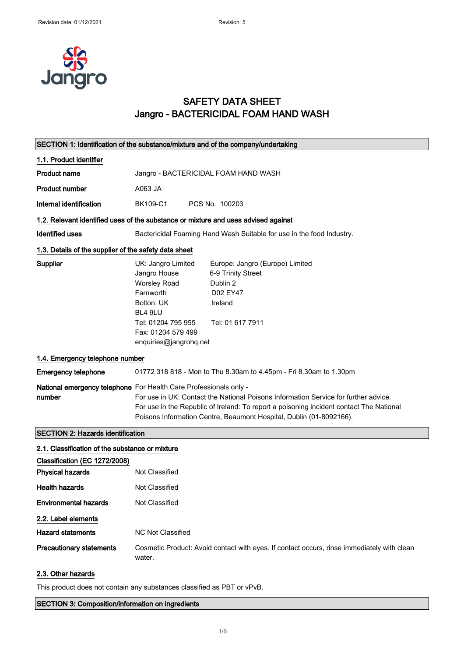

## SAFETY DATA SHEET Jangro - BACTERICIDAL FOAM HAND WASH

|                                                                                  | SECTION 1: Identification of the substance/mixture and of the company/undertaking                                                                                                                                                                                                                                          |
|----------------------------------------------------------------------------------|----------------------------------------------------------------------------------------------------------------------------------------------------------------------------------------------------------------------------------------------------------------------------------------------------------------------------|
| 1.1. Product identifier                                                          |                                                                                                                                                                                                                                                                                                                            |
| <b>Product name</b>                                                              | Jangro - BACTERICIDAL FOAM HAND WASH                                                                                                                                                                                                                                                                                       |
| <b>Product number</b>                                                            | A063 JA                                                                                                                                                                                                                                                                                                                    |
| Internal identification                                                          | BK109-C1<br>PCS No. 100203                                                                                                                                                                                                                                                                                                 |
|                                                                                  | 1.2. Relevant identified uses of the substance or mixture and uses advised against                                                                                                                                                                                                                                         |
| Identified uses                                                                  | Bactericidal Foaming Hand Wash Suitable for use in the food Industry.                                                                                                                                                                                                                                                      |
| 1.3. Details of the supplier of the safety data sheet                            |                                                                                                                                                                                                                                                                                                                            |
| <b>Supplier</b>                                                                  | UK: Jangro Limited<br>Europe: Jangro (Europe) Limited<br>Jangro House<br>6-9 Trinity Street<br><b>Worsley Road</b><br>Dublin 2<br>Farnworth<br>D02 EY47<br>Bolton, UK<br>Ireland<br>BL4 9LU<br>Tel: 01204 795 955<br>Tel: 01 617 7911<br>Fax: 01204 579 499<br>enquiries@jangrohq.net                                      |
| 1.4. Emergency telephone number                                                  |                                                                                                                                                                                                                                                                                                                            |
| <b>Emergency telephone</b>                                                       | 01772 318 818 - Mon to Thu 8.30am to 4.45pm - Fri 8.30am to 1.30pm                                                                                                                                                                                                                                                         |
| number                                                                           | National emergency telephone For Health Care Professionals only -<br>For use in UK: Contact the National Poisons Information Service for further advice.<br>For use in the Republic of Ireland: To report a poisoning incident contact The National<br>Poisons Information Centre, Beaumont Hospital, Dublin (01-8092166). |
| <b>SECTION 2: Hazards identification</b>                                         |                                                                                                                                                                                                                                                                                                                            |
| 2.1. Classification of the substance or mixture<br>Classification (EC 1272/2008) |                                                                                                                                                                                                                                                                                                                            |
| <b>Physical hazards</b>                                                          | Not Classified                                                                                                                                                                                                                                                                                                             |
| <b>Health hazards</b>                                                            | Not Classified                                                                                                                                                                                                                                                                                                             |
| <b>Environmental hazards</b>                                                     | Not Classified                                                                                                                                                                                                                                                                                                             |
| 2.2. Label elements                                                              |                                                                                                                                                                                                                                                                                                                            |
| <b>Hazard statements</b>                                                         | <b>NC Not Classified</b>                                                                                                                                                                                                                                                                                                   |
| <b>Precautionary statements</b>                                                  | Cosmetic Product: Avoid contact with eyes. If contact occurs, rinse immediately with clean<br>water.                                                                                                                                                                                                                       |
| 2.3. Other hazards                                                               |                                                                                                                                                                                                                                                                                                                            |

This product does not contain any substances classified as PBT or vPvB.

SECTION 3: Composition/information on ingredients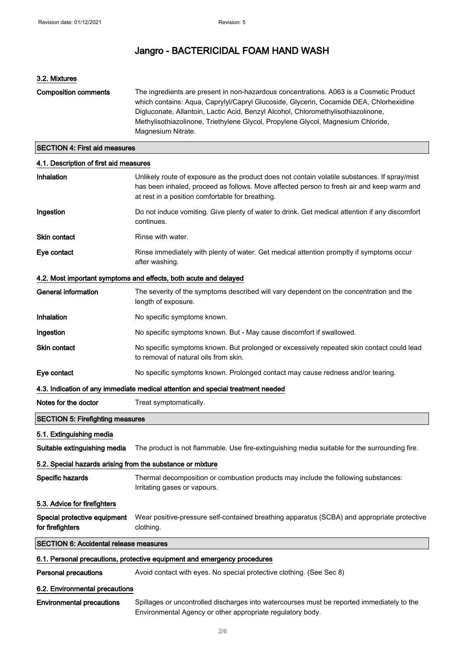#### 3.2. Mixtures

| <b>Composition comments</b> | The ingredients are present in non-hazardous concentrations. A063 is a Cosmetic Product<br>which contains: Agua, Caprylyl/Capryl Glucoside, Glycerin, Cocamide DEA, Chlorhexidine<br>Digluconate, Allantoin, Lactic Acid, Benzyl Alcohol, Chloromethylisothiazolinone,<br>Methylisothiazolinone, Triethylene Glycol, Propylene Glycol, Magnesium Chloride,<br>Magnesium Nitrate. |
|-----------------------------|----------------------------------------------------------------------------------------------------------------------------------------------------------------------------------------------------------------------------------------------------------------------------------------------------------------------------------------------------------------------------------|
|                             |                                                                                                                                                                                                                                                                                                                                                                                  |

#### SECTION 4: First aid measures

### 4.1. Description of first aid measures

| Inhalation                                                               | Unlikely route of exposure as the product does not contain volatile substances. If spray/mist<br>has been inhaled, proceed as follows. Move affected person to fresh air and keep warm and<br>at rest in a position comfortable for breathing. |  |
|--------------------------------------------------------------------------|------------------------------------------------------------------------------------------------------------------------------------------------------------------------------------------------------------------------------------------------|--|
| Ingestion                                                                | Do not induce vomiting. Give plenty of water to drink. Get medical attention if any discomfort<br>continues.                                                                                                                                   |  |
| <b>Skin contact</b>                                                      | Rinse with water.                                                                                                                                                                                                                              |  |
| Eye contact                                                              | Rinse immediately with plenty of water. Get medical attention promptly if symptoms occur<br>after washing.                                                                                                                                     |  |
|                                                                          | 4.2. Most important symptoms and effects, both acute and delayed                                                                                                                                                                               |  |
| <b>General information</b>                                               | The severity of the symptoms described will vary dependent on the concentration and the<br>length of exposure.                                                                                                                                 |  |
| Inhalation                                                               | No specific symptoms known.                                                                                                                                                                                                                    |  |
| Ingestion                                                                | No specific symptoms known. But - May cause discomfort if swallowed.                                                                                                                                                                           |  |
| Skin contact                                                             | No specific symptoms known. But prolonged or excessively repeated skin contact could lead<br>to removal of natural oils from skin.                                                                                                             |  |
| Eye contact                                                              | No specific symptoms known. Prolonged contact may cause redness and/or tearing.                                                                                                                                                                |  |
|                                                                          | 4.3. Indication of any immediate medical attention and special treatment needed                                                                                                                                                                |  |
| Notes for the doctor                                                     | Treat symptomatically.                                                                                                                                                                                                                         |  |
| <b>SECTION 5: Firefighting measures</b>                                  |                                                                                                                                                                                                                                                |  |
| 5.1. Extinguishing media                                                 |                                                                                                                                                                                                                                                |  |
| Suitable extinguishing media                                             | The product is not flammable. Use fire-extinguishing media suitable for the surrounding fire.                                                                                                                                                  |  |
| 5.2. Special hazards arising from the substance or mixture               |                                                                                                                                                                                                                                                |  |
| Specific hazards                                                         | Thermal decomposition or combustion products may include the following substances:<br>Irritating gases or vapours.                                                                                                                             |  |
| 5.3. Advice for firefighters                                             |                                                                                                                                                                                                                                                |  |
| Special protective equipment<br>for firefighters                         | Wear positive-pressure self-contained breathing apparatus (SCBA) and appropriate protective<br>clothing.                                                                                                                                       |  |
| <b>SECTION 6: Accidental release measures</b>                            |                                                                                                                                                                                                                                                |  |
| 6.1. Personal precautions, protective equipment and emergency procedures |                                                                                                                                                                                                                                                |  |
| <b>Personal precautions</b>                                              | Avoid contact with eyes. No special protective clothing. (See Sec 8)                                                                                                                                                                           |  |
| 6.2. Environmental precautions                                           |                                                                                                                                                                                                                                                |  |
| <b>Environmental precautions</b>                                         | Spillages or uncontrolled discharges into watercourses must be reported immediately to the<br>Environmental Agency or other appropriate regulatory body.                                                                                       |  |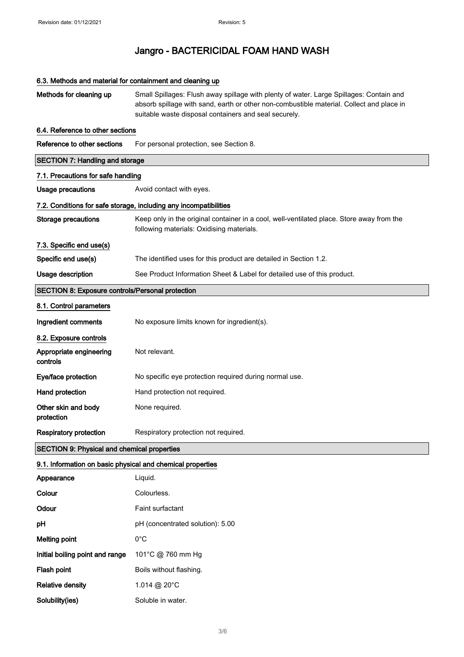## 6.3. Methods and material for containment and cleaning up

| Methods for cleaning up                                    | Small Spillages: Flush away spillage with plenty of water. Large Spillages: Contain and<br>absorb spillage with sand, earth or other non-combustible material. Collect and place in<br>suitable waste disposal containers and seal securely. |  |  |
|------------------------------------------------------------|----------------------------------------------------------------------------------------------------------------------------------------------------------------------------------------------------------------------------------------------|--|--|
| 6.4. Reference to other sections                           |                                                                                                                                                                                                                                              |  |  |
| Reference to other sections                                | For personal protection, see Section 8.                                                                                                                                                                                                      |  |  |
| <b>SECTION 7: Handling and storage</b>                     |                                                                                                                                                                                                                                              |  |  |
| 7.1. Precautions for safe handling                         |                                                                                                                                                                                                                                              |  |  |
| Usage precautions                                          | Avoid contact with eyes.                                                                                                                                                                                                                     |  |  |
|                                                            | 7.2. Conditions for safe storage, including any incompatibilities                                                                                                                                                                            |  |  |
| <b>Storage precautions</b>                                 | Keep only in the original container in a cool, well-ventilated place. Store away from the<br>following materials: Oxidising materials.                                                                                                       |  |  |
| 7.3. Specific end use(s)                                   |                                                                                                                                                                                                                                              |  |  |
| Specific end use(s)                                        | The identified uses for this product are detailed in Section 1.2.                                                                                                                                                                            |  |  |
| Usage description                                          | See Product Information Sheet & Label for detailed use of this product.                                                                                                                                                                      |  |  |
| <b>SECTION 8: Exposure controls/Personal protection</b>    |                                                                                                                                                                                                                                              |  |  |
| 8.1. Control parameters                                    |                                                                                                                                                                                                                                              |  |  |
| Ingredient comments                                        | No exposure limits known for ingredient(s).                                                                                                                                                                                                  |  |  |
| 8.2. Exposure controls                                     |                                                                                                                                                                                                                                              |  |  |
| Appropriate engineering<br>controls                        | Not relevant.                                                                                                                                                                                                                                |  |  |
| Eye/face protection                                        | No specific eye protection required during normal use.                                                                                                                                                                                       |  |  |
| Hand protection                                            | Hand protection not required.                                                                                                                                                                                                                |  |  |
| Other skin and body<br>protection                          | None required.                                                                                                                                                                                                                               |  |  |
| <b>Respiratory protection</b>                              | Respiratory protection not required.                                                                                                                                                                                                         |  |  |
| <b>SECTION 9: Physical and chemical properties</b>         |                                                                                                                                                                                                                                              |  |  |
| 9.1. Information on basic physical and chemical properties |                                                                                                                                                                                                                                              |  |  |
| Appearance                                                 | Liquid.                                                                                                                                                                                                                                      |  |  |
| Colour                                                     | Colourless.                                                                                                                                                                                                                                  |  |  |
| Odour                                                      | Faint surfactant                                                                                                                                                                                                                             |  |  |
| pH                                                         | pH (concentrated solution): 5.00                                                                                                                                                                                                             |  |  |
| <b>Melting point</b>                                       | $0^{\circ}$ C                                                                                                                                                                                                                                |  |  |
| Initial boiling point and range                            | 101°C @ 760 mm Hg                                                                                                                                                                                                                            |  |  |
| Flash point                                                | Boils without flashing.                                                                                                                                                                                                                      |  |  |
| <b>Relative density</b>                                    | 1.014 @ 20°C                                                                                                                                                                                                                                 |  |  |
| Solubility(ies)                                            | Soluble in water.                                                                                                                                                                                                                            |  |  |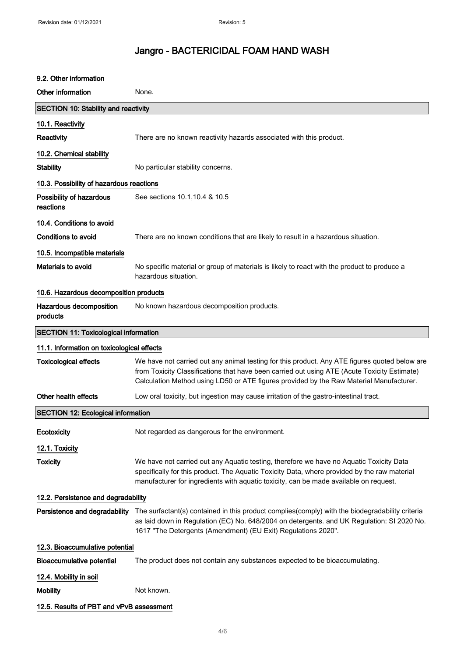## 9.2. Other information Other information None. SECTION 10: Stability and reactivity 10.1. Reactivity Reactivity **There are no known reactivity hazards associated with this product.** 10.2. Chemical stability Stability **Stability** No particular stability concerns. 10.3. Possibility of hazardous reactions Possibility of hazardous reactions See sections 10.1,10.4 & 10.5 10.4. Conditions to avoid Conditions to avoid There are no known conditions that are likely to result in a hazardous situation. 10.5. Incompatible materials Materials to avoid No specific material or group of materials is likely to react with the product to produce a hazardous situation. 10.6. Hazardous decomposition products Hazardous decomposition products No known hazardous decomposition products. SECTION 11: Toxicological information 11.1. Information on toxicological effects Toxicological effects We have not carried out any animal testing for this product. Any ATE figures quoted below are from Toxicity Classifications that have been carried out using ATE (Acute Toxicity Estimate) Calculation Method using LD50 or ATE figures provided by the Raw Material Manufacturer. Other health effects **Low oral toxicity, but ingestion may cause irritation of the gastro-intestinal tract.** SECTION 12: Ecological information Ecotoxicity **Exercise 3 Not regarded as dangerous for the environment.** 12.1. Toxicity Toxicity Toxicity We have not carried out any Aquatic testing, therefore we have no Aquatic Toxicity Data specifically for this product. The Aquatic Toxicity Data, where provided by the raw material manufacturer for ingredients with aquatic toxicity, can be made available on request. 12.2. Persistence and degradability Persistence and degradability The surfactant(s) contained in this product complies(comply) with the biodegradability criteria as laid down in Regulation (EC) No. 648/2004 on detergents. and UK Regulation: SI 2020 No. 1617 "The Detergents (Amendment) (EU Exit) Regulations 2020". 12.3. Bioaccumulative potential Bioaccumulative potential The product does not contain any substances expected to be bioaccumulating. 12.4. Mobility in soil Mobility **Mobility** Not known. 12.5. Results of PBT and vPvB assessment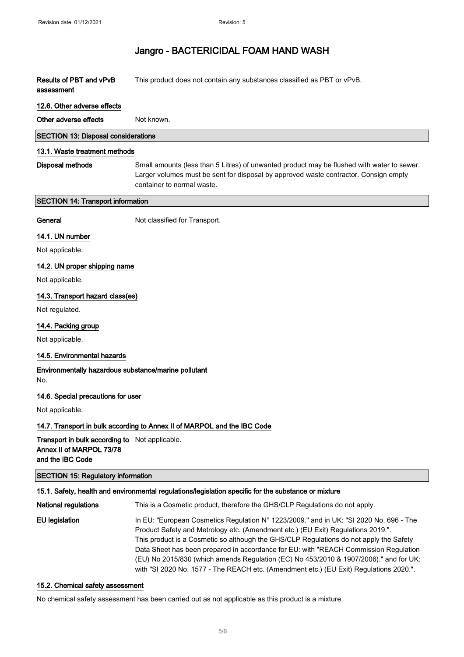| Results of PBT and vPvB<br>assessment                                                          | This product does not contain any substances classified as PBT or vPvB.                                                                                                                                                                                                                                                                                                                                                                               |
|------------------------------------------------------------------------------------------------|-------------------------------------------------------------------------------------------------------------------------------------------------------------------------------------------------------------------------------------------------------------------------------------------------------------------------------------------------------------------------------------------------------------------------------------------------------|
| 12.6. Other adverse effects                                                                    |                                                                                                                                                                                                                                                                                                                                                                                                                                                       |
| Other adverse effects                                                                          | Not known.                                                                                                                                                                                                                                                                                                                                                                                                                                            |
| <b>SECTION 13: Disposal considerations</b>                                                     |                                                                                                                                                                                                                                                                                                                                                                                                                                                       |
| 13.1. Waste treatment methods                                                                  |                                                                                                                                                                                                                                                                                                                                                                                                                                                       |
| <b>Disposal methods</b>                                                                        | Small amounts (less than 5 Litres) of unwanted product may be flushed with water to sewer.<br>Larger volumes must be sent for disposal by approved waste contractor. Consign empty<br>container to normal waste.                                                                                                                                                                                                                                      |
| <b>SECTION 14: Transport information</b>                                                       |                                                                                                                                                                                                                                                                                                                                                                                                                                                       |
| General                                                                                        | Not classified for Transport.                                                                                                                                                                                                                                                                                                                                                                                                                         |
| 14.1. UN number                                                                                |                                                                                                                                                                                                                                                                                                                                                                                                                                                       |
| Not applicable.                                                                                |                                                                                                                                                                                                                                                                                                                                                                                                                                                       |
| 14.2. UN proper shipping name                                                                  |                                                                                                                                                                                                                                                                                                                                                                                                                                                       |
| Not applicable.                                                                                |                                                                                                                                                                                                                                                                                                                                                                                                                                                       |
| 14.3. Transport hazard class(es)                                                               |                                                                                                                                                                                                                                                                                                                                                                                                                                                       |
| Not regulated.                                                                                 |                                                                                                                                                                                                                                                                                                                                                                                                                                                       |
| 14.4. Packing group                                                                            |                                                                                                                                                                                                                                                                                                                                                                                                                                                       |
| Not applicable.                                                                                |                                                                                                                                                                                                                                                                                                                                                                                                                                                       |
| 14.5. Environmental hazards                                                                    |                                                                                                                                                                                                                                                                                                                                                                                                                                                       |
| Environmentally hazardous substance/marine pollutant<br>No.                                    |                                                                                                                                                                                                                                                                                                                                                                                                                                                       |
| 14.6. Special precautions for user                                                             |                                                                                                                                                                                                                                                                                                                                                                                                                                                       |
| Not applicable.                                                                                |                                                                                                                                                                                                                                                                                                                                                                                                                                                       |
|                                                                                                | 14.7. Transport in bulk according to Annex II of MARPOL and the IBC Code                                                                                                                                                                                                                                                                                                                                                                              |
| Transport in bulk according to Not applicable.<br>Annex II of MARPOL 73/78<br>and the IBC Code |                                                                                                                                                                                                                                                                                                                                                                                                                                                       |
| <b>SECTION 15: Regulatory information</b>                                                      |                                                                                                                                                                                                                                                                                                                                                                                                                                                       |
|                                                                                                | 15.1. Safety, health and environmental regulations/legislation specific for the substance or mixture                                                                                                                                                                                                                                                                                                                                                  |
| <b>National regulations</b>                                                                    | This is a Cosmetic product, therefore the GHS/CLP Regulations do not apply.                                                                                                                                                                                                                                                                                                                                                                           |
| <b>EU</b> legislation                                                                          | In EU: "European Cosmetics Regulation N° 1223/2009." and in UK: "SI 2020 No. 696 - The<br>Product Safety and Metrology etc. (Amendment etc.) (EU Exit) Regulations 2019.".<br>This product is a Cosmetic so although the GHS/CLP Regulations do not apply the Safety<br>Data Sheet has been prepared in accordance for EU: with "REACH Commission Regulation<br>(EU) No 2015/830 (which amends Regulation (EC) No 453/2010 & 1907/2006)." and for UK: |

#### 15.2. Chemical safety assessment

No chemical safety assessment has been carried out as not applicable as this product is a mixture.

with "SI 2020 No. 1577 - The REACH etc. (Amendment etc.) (EU Exit) Regulations 2020.".